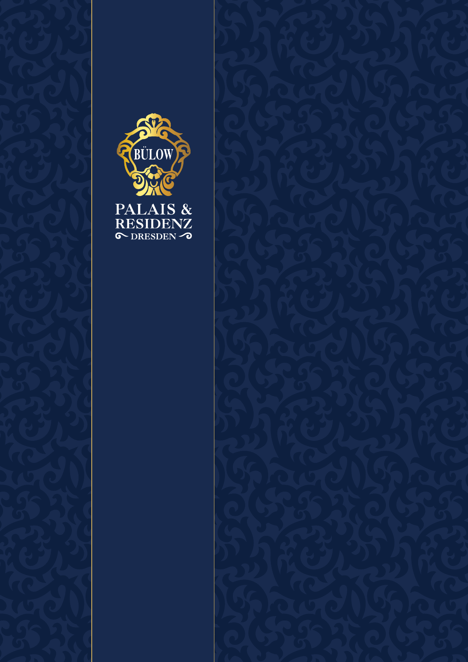

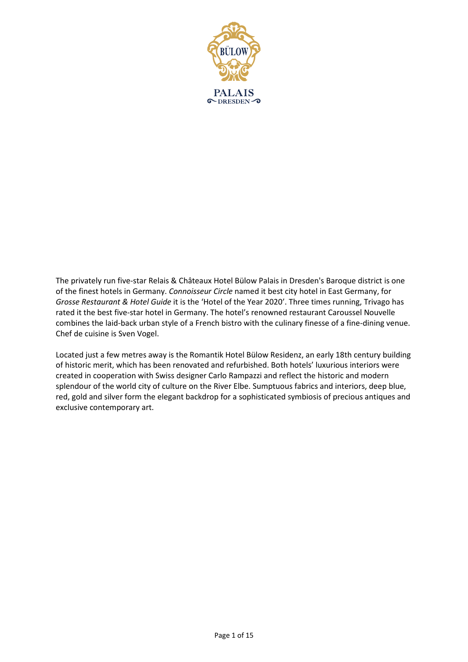

The privately run five-star Relais & Châteaux Hotel Bülow Palais in Dresden's Baroque district is one of the finest hotels in Germany. *Connoisseur Circle* named it best city hotel in East Germany, for *Grosse Restaurant & Hotel Guide* it is the 'Hotel of the Year 2020'. Three times running, Trivago has rated it the best five-star hotel in Germany. The hotel's renowned restaurant Caroussel Nouvelle combines the laid-back urban style of a French bistro with the culinary finesse of a fine-dining venue. Chef de cuisine is Sven Vogel.

Located just a few metres away is the Romantik Hotel Bülow Residenz, an early 18th century building of historic merit, which has been renovated and refurbished. Both hotels' luxurious interiors were created in cooperation with Swiss designer Carlo Rampazzi and reflect the historic and modern splendour of the world city of culture on the River Elbe. Sumptuous fabrics and interiors, deep blue, red, gold and silver form the elegant backdrop for a sophisticated symbiosis of precious antiques and exclusive contemporary art.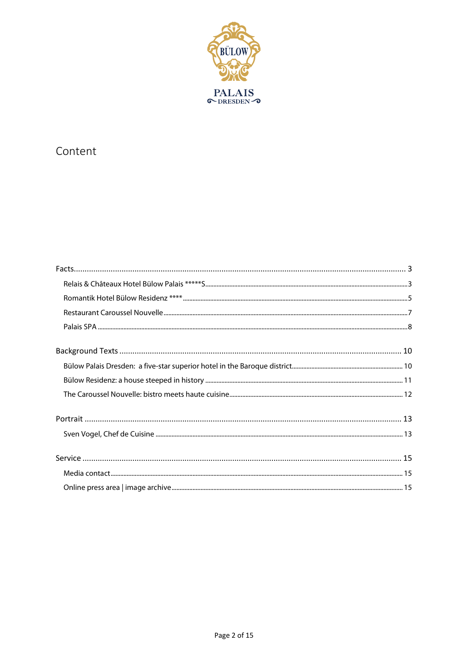

#### Content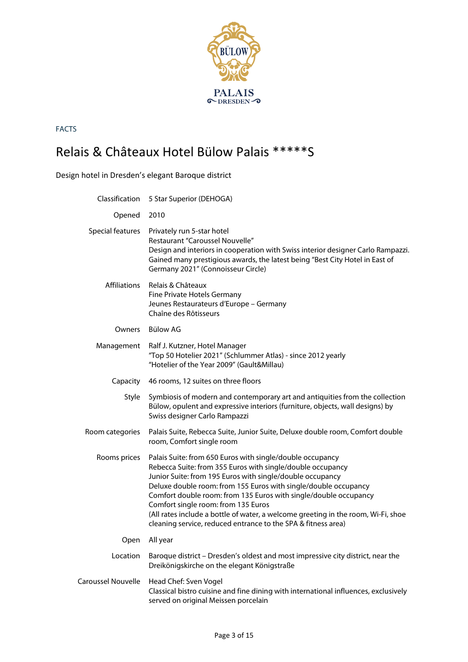

# Relais & Châteaux Hotel Bülow Palais \*\*\*\*\*S

|  | Design hotel in Dresden's elegant Baroque district |
|--|----------------------------------------------------|
|  |                                                    |

|                     | Classification 5 Star Superior (DEHOGA)                                                                                                                                                                                                                                                                                                                                                                                                                                                                                  |
|---------------------|--------------------------------------------------------------------------------------------------------------------------------------------------------------------------------------------------------------------------------------------------------------------------------------------------------------------------------------------------------------------------------------------------------------------------------------------------------------------------------------------------------------------------|
| Opened              | 2010                                                                                                                                                                                                                                                                                                                                                                                                                                                                                                                     |
| Special features    | Privately run 5-star hotel<br>Restaurant "Caroussel Nouvelle"<br>Design and interiors in cooperation with Swiss interior designer Carlo Rampazzi.<br>Gained many prestigious awards, the latest being "Best City Hotel in East of<br>Germany 2021" (Connoisseur Circle)                                                                                                                                                                                                                                                  |
| <b>Affiliations</b> | Relais & Châteaux<br>Fine Private Hotels Germany<br>Jeunes Restaurateurs d'Europe - Germany<br>Chaîne des Rôtisseurs                                                                                                                                                                                                                                                                                                                                                                                                     |
| Owners              | Bülow AG                                                                                                                                                                                                                                                                                                                                                                                                                                                                                                                 |
| Management          | Ralf J. Kutzner, Hotel Manager<br>"Top 50 Hotelier 2021" (Schlummer Atlas) - since 2012 yearly<br>"Hotelier of the Year 2009" (Gault&Millau)                                                                                                                                                                                                                                                                                                                                                                             |
| Capacity            | 46 rooms, 12 suites on three floors                                                                                                                                                                                                                                                                                                                                                                                                                                                                                      |
| Style               | Symbiosis of modern and contemporary art and antiquities from the collection<br>Bülow, opulent and expressive interiors (furniture, objects, wall designs) by<br>Swiss designer Carlo Rampazzi                                                                                                                                                                                                                                                                                                                           |
| Room categories     | Palais Suite, Rebecca Suite, Junior Suite, Deluxe double room, Comfort double<br>room, Comfort single room                                                                                                                                                                                                                                                                                                                                                                                                               |
| Rooms prices        | Palais Suite: from 650 Euros with single/double occupancy<br>Rebecca Suite: from 355 Euros with single/double occupancy<br>Junior Suite: from 195 Euros with single/double occupancy<br>Deluxe double room: from 155 Euros with single/double occupancy<br>Comfort double room: from 135 Euros with single/double occupancy<br>Comfort single room: from 135 Euros<br>(All rates include a bottle of water, a welcome greeting in the room, Wi-Fi, shoe<br>cleaning service, reduced entrance to the SPA & fitness area) |
| Open                | All year                                                                                                                                                                                                                                                                                                                                                                                                                                                                                                                 |
| Location            | Baroque district - Dresden's oldest and most impressive city district, near the<br>Dreikönigskirche on the elegant Königstraße                                                                                                                                                                                                                                                                                                                                                                                           |
| Caroussel Nouvelle  | Head Chef: Sven Vogel<br>Classical bistro cuisine and fine dining with international influences, exclusively<br>served on original Meissen porcelain                                                                                                                                                                                                                                                                                                                                                                     |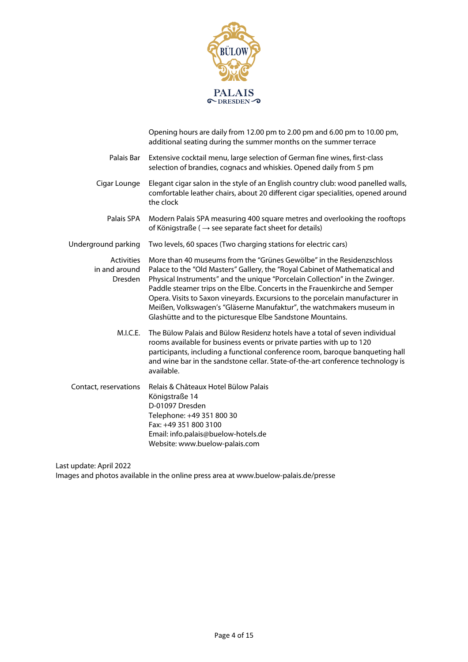

|                                                      | Opening hours are daily from 12.00 pm to 2.00 pm and 6.00 pm to 10.00 pm,<br>additional seating during the summer months on the summer terrace                                                                                                                                                                                                                                                                                                                                                                                           |
|------------------------------------------------------|------------------------------------------------------------------------------------------------------------------------------------------------------------------------------------------------------------------------------------------------------------------------------------------------------------------------------------------------------------------------------------------------------------------------------------------------------------------------------------------------------------------------------------------|
| Palais Bar                                           | Extensive cocktail menu, large selection of German fine wines, first-class<br>selection of brandies, cognacs and whiskies. Opened daily from 5 pm                                                                                                                                                                                                                                                                                                                                                                                        |
| Cigar Lounge                                         | Elegant cigar salon in the style of an English country club: wood panelled walls,<br>comfortable leather chairs, about 20 different cigar specialities, opened around<br>the clock                                                                                                                                                                                                                                                                                                                                                       |
| Palais SPA                                           | Modern Palais SPA measuring 400 square metres and overlooking the rooftops<br>of Königstraße ( $\rightarrow$ see separate fact sheet for details)                                                                                                                                                                                                                                                                                                                                                                                        |
| Underground parking                                  | Two levels, 60 spaces (Two charging stations for electric cars)                                                                                                                                                                                                                                                                                                                                                                                                                                                                          |
| <b>Activities</b><br>in and around<br><b>Dresden</b> | More than 40 museums from the "Grünes Gewölbe" in the Residenzschloss<br>Palace to the "Old Masters" Gallery, the "Royal Cabinet of Mathematical and<br>Physical Instruments" and the unique "Porcelain Collection" in the Zwinger.<br>Paddle steamer trips on the Elbe. Concerts in the Frauenkirche and Semper<br>Opera. Visits to Saxon vineyards. Excursions to the porcelain manufacturer in<br>Meißen, Volkswagen's "Gläserne Manufaktur", the watchmakers museum in<br>Glashütte and to the picturesque Elbe Sandstone Mountains. |
| M.I.C.E.                                             | The Bülow Palais and Bülow Residenz hotels have a total of seven individual<br>rooms available for business events or private parties with up to 120<br>participants, including a functional conference room, baroque banqueting hall<br>and wine bar in the sandstone cellar. State-of-the-art conference technology is<br>available.                                                                                                                                                                                                   |
| Contact, reservations                                | Relais & Châteaux Hotel Bülow Palais<br>Königstraße 14<br>D-01097 Dresden<br>Telephone: +49 351 800 30<br>Fax: +49 351 800 3100<br>Email: info.palais@buelow-hotels.de<br>Website: www.buelow-palais.com                                                                                                                                                                                                                                                                                                                                 |

Last update: April 2022

Images and photos available in the online press area at www.buelow-palais.de/presse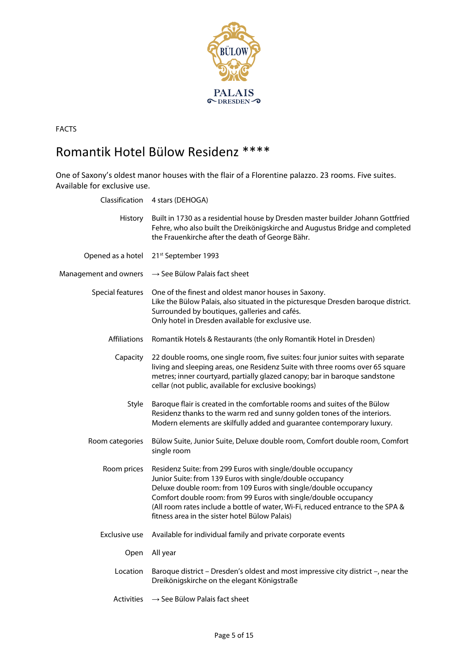

## Romantik Hotel Bülow Residenz \*\*\*\*

One of Saxony's oldest manor houses with the flair of a Florentine palazzo. 23 rooms. Five suites. Available for exclusive use.

| Classification        | 4 stars (DEHOGA)                                                                                                                                                                                                                                                                                                                                                                                    |
|-----------------------|-----------------------------------------------------------------------------------------------------------------------------------------------------------------------------------------------------------------------------------------------------------------------------------------------------------------------------------------------------------------------------------------------------|
| History               | Built in 1730 as a residential house by Dresden master builder Johann Gottfried<br>Fehre, who also built the Dreikönigskirche and Augustus Bridge and completed<br>the Frauenkirche after the death of George Bähr.                                                                                                                                                                                 |
| Opened as a hotel     | 21st September 1993                                                                                                                                                                                                                                                                                                                                                                                 |
| Management and owners | $\rightarrow$ See Bülow Palais fact sheet                                                                                                                                                                                                                                                                                                                                                           |
| Special features      | One of the finest and oldest manor houses in Saxony.<br>Like the Bülow Palais, also situated in the picturesque Dresden baroque district.<br>Surrounded by boutiques, galleries and cafés.<br>Only hotel in Dresden available for exclusive use.                                                                                                                                                    |
| <b>Affiliations</b>   | Romantik Hotels & Restaurants (the only Romantik Hotel in Dresden)                                                                                                                                                                                                                                                                                                                                  |
| Capacity              | 22 double rooms, one single room, five suites: four junior suites with separate<br>living and sleeping areas, one Residenz Suite with three rooms over 65 square<br>metres; inner courtyard, partially glazed canopy; bar in baroque sandstone<br>cellar (not public, available for exclusive bookings)                                                                                             |
| Style                 | Baroque flair is created in the comfortable rooms and suites of the Bülow<br>Residenz thanks to the warm red and sunny golden tones of the interiors.<br>Modern elements are skilfully added and guarantee contemporary luxury.                                                                                                                                                                     |
| Room categories       | Bülow Suite, Junior Suite, Deluxe double room, Comfort double room, Comfort<br>single room                                                                                                                                                                                                                                                                                                          |
| Room prices           | Residenz Suite: from 299 Euros with single/double occupancy<br>Junior Suite: from 139 Euros with single/double occupancy<br>Deluxe double room: from 109 Euros with single/double occupancy<br>Comfort double room: from 99 Euros with single/double occupancy<br>(All room rates include a bottle of water, Wi-Fi, reduced entrance to the SPA &<br>fitness area in the sister hotel Bülow Palais) |
| Exclusive use         | Available for individual family and private corporate events                                                                                                                                                                                                                                                                                                                                        |
| Open                  | All year                                                                                                                                                                                                                                                                                                                                                                                            |
| Location              | Baroque district - Dresden's oldest and most impressive city district -, near the<br>Dreikönigskirche on the elegant Königstraße                                                                                                                                                                                                                                                                    |
| <b>Activities</b>     | $\rightarrow$ See Bülow Palais fact sheet                                                                                                                                                                                                                                                                                                                                                           |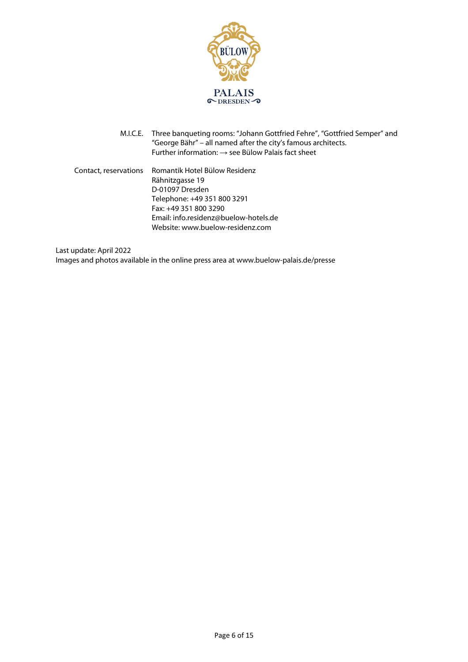

M.I.C.E. Three banqueting rooms: "Johann Gottfried Fehre", "Gottfried Semper" and "George Bähr" – all named after the city's famous architects. Further information:  $\rightarrow$  see Bülow Palais fact sheet

Contact, reservations Romantik Hotel Bülow Residenz Rähnitzgasse 19 D-01097 Dresden Telephone: +49 351 800 3291 Fax: +49 351 800 3290 Email: info.residenz@buelow-hotels.de Website: www.buelow-residenz.com

Last update: April 2022 Images and photos available in the online press area at www.buelow-palais.de/presse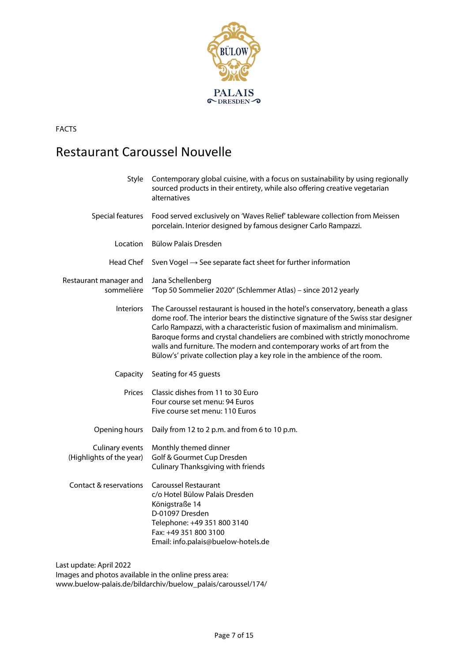

## Restaurant Caroussel Nouvelle

|                                                      | sourced products in their entirety, while also offering creative vegetarian<br>alternatives                                                                                                                                                                                                                                                                                                                                                                                              |
|------------------------------------------------------|------------------------------------------------------------------------------------------------------------------------------------------------------------------------------------------------------------------------------------------------------------------------------------------------------------------------------------------------------------------------------------------------------------------------------------------------------------------------------------------|
| Special features                                     | Food served exclusively on 'Waves Relief' tableware collection from Meissen<br>porcelain. Interior designed by famous designer Carlo Rampazzi.                                                                                                                                                                                                                                                                                                                                           |
| Location                                             | Bülow Palais Dresden                                                                                                                                                                                                                                                                                                                                                                                                                                                                     |
| Head Chef                                            | Sven Vogel $\rightarrow$ See separate fact sheet for further information                                                                                                                                                                                                                                                                                                                                                                                                                 |
| Restaurant manager and<br>sommelière                 | Jana Schellenberg<br>"Top 50 Sommelier 2020" (Schlemmer Atlas) - since 2012 yearly                                                                                                                                                                                                                                                                                                                                                                                                       |
| <b>Interiors</b>                                     | The Caroussel restaurant is housed in the hotel's conservatory, beneath a glass<br>dome roof. The interior bears the distinctive signature of the Swiss star designer<br>Carlo Rampazzi, with a characteristic fusion of maximalism and minimalism.<br>Baroque forms and crystal chandeliers are combined with strictly monochrome<br>walls and furniture. The modern and contemporary works of art from the<br>Bülow's' private collection play a key role in the ambience of the room. |
| Capacity                                             | Seating for 45 guests                                                                                                                                                                                                                                                                                                                                                                                                                                                                    |
| Prices                                               | Classic dishes from 11 to 30 Euro<br>Four course set menu: 94 Euros<br>Five course set menu: 110 Euros                                                                                                                                                                                                                                                                                                                                                                                   |
| Opening hours                                        | Daily from 12 to 2 p.m. and from 6 to 10 p.m.                                                                                                                                                                                                                                                                                                                                                                                                                                            |
| <b>Culinary events</b><br>(Highlights of the year)   | Monthly themed dinner<br>Golf & Gourmet Cup Dresden<br><b>Culinary Thanksgiving with friends</b>                                                                                                                                                                                                                                                                                                                                                                                         |
| Contact & reservations<br>ووهوا السوافيات والمساويات | <b>Caroussel Restaurant</b><br>c/o Hotel Bülow Palais Dresden<br>Königstraße 14<br>D-01097 Dresden<br>Telephone: +49 351 800 3140<br>Fax: +49 351 800 3100<br>Email: info.palais@buelow-hotels.de                                                                                                                                                                                                                                                                                        |

Last update: April 2022 Images and photos available in the online press area: www.buelow-palais.de/bildarchiv/buelow\_palais/caroussel/174/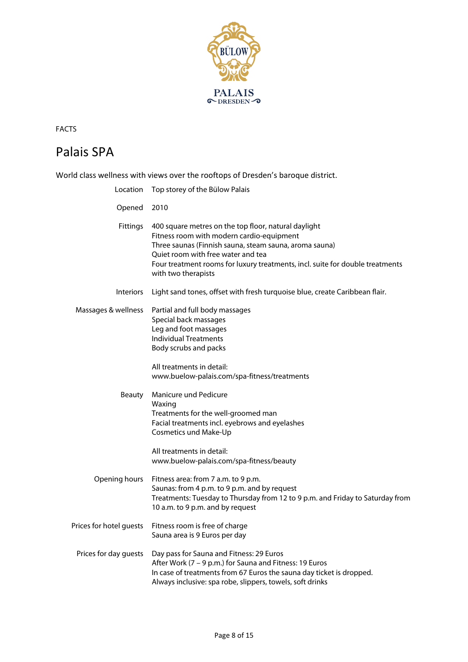

## Palais SPA

World class wellness with views over the rooftops of Dresden's baroque district. Location Top storey of the Bülow Palais

|                         | Location Top stores of the balow I alais                                                                                                                                                                                                                                                                  |
|-------------------------|-----------------------------------------------------------------------------------------------------------------------------------------------------------------------------------------------------------------------------------------------------------------------------------------------------------|
| Opened                  | 2010                                                                                                                                                                                                                                                                                                      |
| Fittings                | 400 square metres on the top floor, natural daylight<br>Fitness room with modern cardio-equipment<br>Three saunas (Finnish sauna, steam sauna, aroma sauna)<br>Quiet room with free water and tea<br>Four treatment rooms for luxury treatments, incl. suite for double treatments<br>with two therapists |
| <b>Interiors</b>        | Light sand tones, offset with fresh turquoise blue, create Caribbean flair.                                                                                                                                                                                                                               |
| Massages & wellness     | Partial and full body massages<br>Special back massages<br>Leg and foot massages<br><b>Individual Treatments</b><br>Body scrubs and packs                                                                                                                                                                 |
|                         | All treatments in detail:<br>www.buelow-palais.com/spa-fitness/treatments                                                                                                                                                                                                                                 |
| Beauty                  | Manicure und Pedicure<br>Waxing<br>Treatments for the well-groomed man<br>Facial treatments incl. eyebrows and eyelashes<br>Cosmetics und Make-Up                                                                                                                                                         |
|                         | All treatments in detail:<br>www.buelow-palais.com/spa-fitness/beauty                                                                                                                                                                                                                                     |
| Opening hours           | Fitness area: from 7 a.m. to 9 p.m.<br>Saunas: from 4 p.m. to 9 p.m. and by request<br>Treatments: Tuesday to Thursday from 12 to 9 p.m. and Friday to Saturday from<br>10 a.m. to 9 p.m. and by request                                                                                                  |
| Prices for hotel guests | Fitness room is free of charge<br>Sauna area is 9 Euros per day                                                                                                                                                                                                                                           |
| Prices for day guests   | Day pass for Sauna and Fitness: 29 Euros<br>After Work (7 – 9 p.m.) for Sauna and Fitness: 19 Euros<br>In case of treatments from 67 Euros the sauna day ticket is dropped.<br>Always inclusive: spa robe, slippers, towels, soft drinks                                                                  |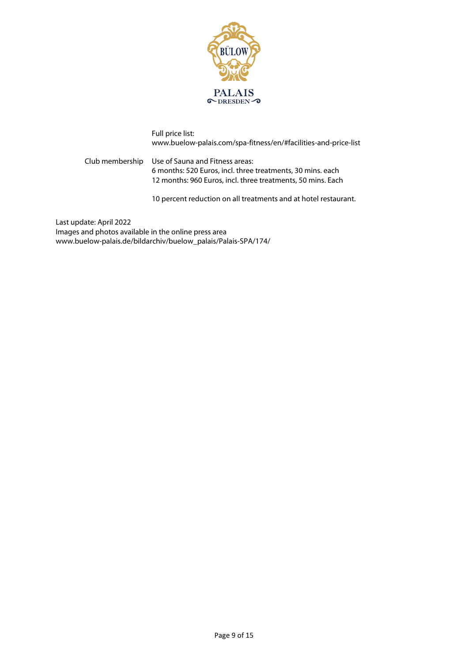

Full price list: www.buelow-palais.com/spa-fitness/en/#facilities-and-price-list

Club membership Use of Sauna and Fitness areas: 6 months: 520 Euros, incl. three treatments, 30 mins. each 12 months: 960 Euros, incl. three treatments, 50 mins. Each

10 percent reduction on all treatments and at hotel restaurant.

Last update: April 2022 Images and photos available in the online press area www.buelow-palais.de/bildarchiv/buelow\_palais/Palais-SPA/174/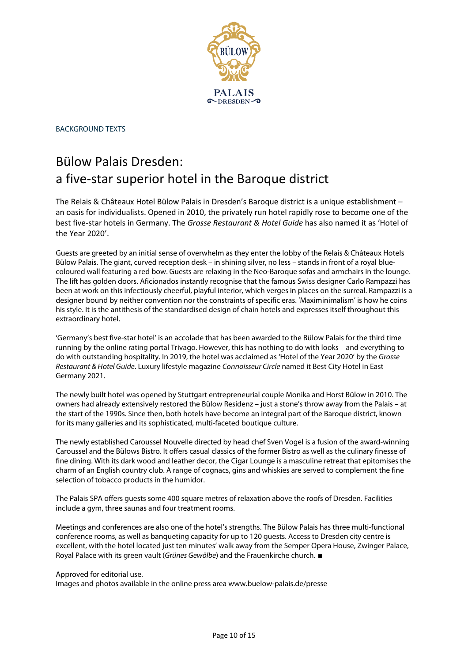

BACKGROUND TEXTS

## Bülow Palais Dresden: a five-star superior hotel in the Baroque district

The Relais & Châteaux Hotel Bülow Palais in Dresden's Baroque district is a unique establishment – an oasis for individualists. Opened in 2010, the privately run hotel rapidly rose to become one of the best five-star hotels in Germany. The *Grosse Restaurant & Hotel Guide* has also named it as 'Hotel of the Year 2020'.

Guests are greeted by an initial sense of overwhelm as they enter the lobby of the Relais & Châteaux Hotels Bülow Palais. The giant, curved reception desk – in shining silver, no less – stands in front of a royal bluecoloured wall featuring a red bow. Guests are relaxing in the Neo-Baroque sofas and armchairs in the lounge. The lift has golden doors. Aficionados instantly recognise that the famous Swiss designer Carlo Rampazzi has been at work on this infectiously cheerful, playful interior, which verges in places on the surreal. Rampazzi is a designer bound by neither convention nor the constraints of specific eras. 'Maximinimalism' is how he coins his style. It is the antithesis of the standardised design of chain hotels and expresses itself throughout this extraordinary hotel.

'Germany's best five-star hotel' is an accolade that has been awarded to the Bülow Palais for the third time running by the online rating portal Trivago. However, this has nothing to do with looks – and everything to do with outstanding hospitality. In 2019, the hotel was acclaimed as 'Hotel of the Year 2020' by the Grosse Restaurant & Hotel Guide. Luxury lifestyle magazine Connoisseur Circle named it Best City Hotel in East Germany 2021.

The newly built hotel was opened by Stuttgart entrepreneurial couple Monika and Horst Bülow in 2010. The owners had already extensively restored the Bülow Residenz – just a stone's throw away from the Palais – at the start of the 1990s. Since then, both hotels have become an integral part of the Baroque district, known for its many galleries and its sophisticated, multi-faceted boutique culture.

The newly established Caroussel Nouvelle directed by head chef Sven Vogel is a fusion of the award-winning Caroussel and the Bülows Bistro. It offers casual classics of the former Bistro as well as the culinary finesse of fine dining. With its dark wood and leather decor, the Cigar Lounge is a masculine retreat that epitomises the charm of an English country club. A range of cognacs, gins and whiskies are served to complement the fine selection of tobacco products in the humidor.

The Palais SPA offers guests some 400 square metres of relaxation above the roofs of Dresden. Facilities include a gym, three saunas and four treatment rooms.

Meetings and conferences are also one of the hotel's strengths. The Bülow Palais has three multi-functional conference rooms, as well as banqueting capacity for up to 120 guests. Access to Dresden city centre is excellent, with the hotel located just ten minutes' walk away from the Semper Opera House, Zwinger Palace, Royal Palace with its green vault (Grünes Gewölbe) and the Frauenkirche church. ■

Approved for editorial use.

Images and photos available in the online press area www.buelow-palais.de/presse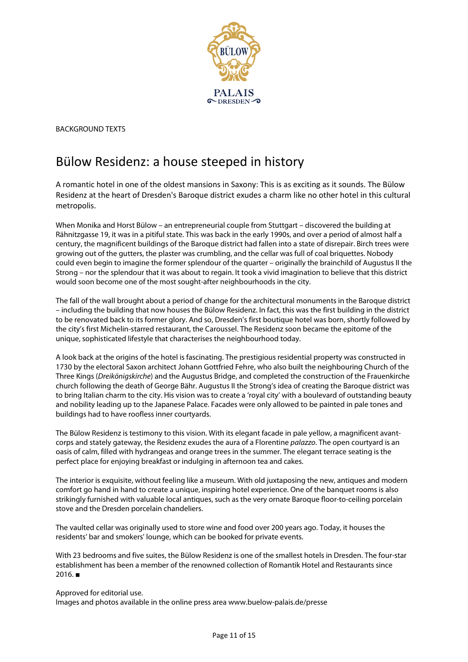

BACKGROUND TEXTS

## Bülow Residenz: a house steeped in history

A romantic hotel in one of the oldest mansions in Saxony: This is as exciting as it sounds. The Bülow Residenz at the heart of Dresden's Baroque district exudes a charm like no other hotel in this cultural metropolis.

When Monika and Horst Bülow – an entrepreneurial couple from Stuttgart – discovered the building at Rähnitzgasse 19, it was in a pitiful state. This was back in the early 1990s, and over a period of almost half a century, the magnificent buildings of the Baroque district had fallen into a state of disrepair. Birch trees were growing out of the gutters, the plaster was crumbling, and the cellar was full of coal briquettes. Nobody could even begin to imagine the former splendour of the quarter – originally the brainchild of Augustus II the Strong – nor the splendour that it was about to regain. It took a vivid imagination to believe that this district would soon become one of the most sought-after neighbourhoods in the city.

The fall of the wall brought about a period of change for the architectural monuments in the Baroque district – including the building that now houses the Bülow Residenz. In fact, this was the first building in the district to be renovated back to its former glory. And so, Dresden's first boutique hotel was born, shortly followed by the city's first Michelin-starred restaurant, the Caroussel. The Residenz soon became the epitome of the unique, sophisticated lifestyle that characterises the neighbourhood today.

A look back at the origins of the hotel is fascinating. The prestigious residential property was constructed in 1730 by the electoral Saxon architect Johann Gottfried Fehre, who also built the neighbouring Church of the Three Kings (Dreikönigskirche) and the Augustus Bridge, and completed the construction of the Frauenkirche church following the death of George Bähr. Augustus II the Strong's idea of creating the Baroque district was to bring Italian charm to the city. His vision was to create a 'royal city' with a boulevard of outstanding beauty and nobility leading up to the Japanese Palace. Facades were only allowed to be painted in pale tones and buildings had to have roofless inner courtyards.

The Bülow Residenz is testimony to this vision. With its elegant facade in pale yellow, a magnificent avantcorps and stately gateway, the Residenz exudes the aura of a Florentine palazzo. The open courtyard is an oasis of calm, filled with hydrangeas and orange trees in the summer. The elegant terrace seating is the perfect place for enjoying breakfast or indulging in afternoon tea and cakes.

The interior is exquisite, without feeling like a museum. With old juxtaposing the new, antiques and modern comfort go hand in hand to create a unique, inspiring hotel experience. One of the banquet rooms is also strikingly furnished with valuable local antiques, such as the very ornate Baroque floor-to-ceiling porcelain stove and the Dresden porcelain chandeliers.

The vaulted cellar was originally used to store wine and food over 200 years ago. Today, it houses the residents' bar and smokers' lounge, which can be booked for private events.

With 23 bedrooms and five suites, the Bülow Residenz is one of the smallest hotels in Dresden. The four-star establishment has been a member of the renowned collection of Romantik Hotel and Restaurants since  $2016.$  ■

Approved for editorial use. Images and photos available in the online press area www.buelow-palais.de/presse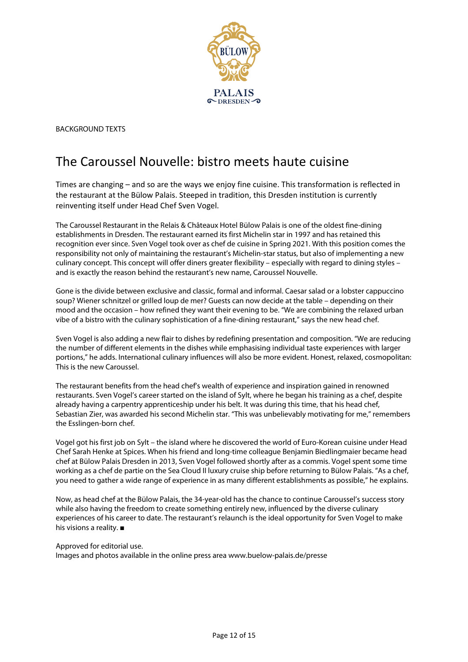

BACKGROUND TEXTS

## The Caroussel Nouvelle: bistro meets haute cuisine

Times are changing – and so are the ways we enjoy fine cuisine. This transformation is reflected in the restaurant at the Bülow Palais. Steeped in tradition, this Dresden institution is currently reinventing itself under Head Chef Sven Vogel.

The Caroussel Restaurant in the Relais & Châteaux Hotel Bülow Palais is one of the oldest fine-dining establishments in Dresden. The restaurant earned its first Michelin star in 1997 and has retained this recognition ever since. Sven Vogel took over as chef de cuisine in Spring 2021. With this position comes the responsibility not only of maintaining the restaurant's Michelin-star status, but also of implementing a new culinary concept. This concept will offer diners greater flexibility – especially with regard to dining styles – and is exactly the reason behind the restaurant's new name, Caroussel Nouvelle.

Gone is the divide between exclusive and classic, formal and informal. Caesar salad or a lobster cappuccino soup? Wiener schnitzel or grilled loup de mer? Guests can now decide at the table – depending on their mood and the occasion – how refined they want their evening to be. "We are combining the relaxed urban vibe of a bistro with the culinary sophistication of a fine-dining restaurant," says the new head chef.

Sven Vogel is also adding a new flair to dishes by redefining presentation and composition. "We are reducing the number of different elements in the dishes while emphasising individual taste experiences with larger portions," he adds. International culinary influences will also be more evident. Honest, relaxed, cosmopolitan: This is the new Caroussel.

The restaurant benefits from the head chef's wealth of experience and inspiration gained in renowned restaurants. Sven Vogel's career started on the island of Sylt, where he began his training as a chef, despite already having a carpentry apprenticeship under his belt. It was during this time, that his head chef, Sebastian Zier, was awarded his second Michelin star. "This was unbelievably motivating for me," remembers the Esslingen-born chef.

Vogel got his first job on Sylt – the island where he discovered the world of Euro-Korean cuisine under Head Chef Sarah Henke at Spices. When his friend and long-time colleague Benjamin Biedlingmaier became head chef at Bülow Palais Dresden in 2013, Sven Vogel followed shortly after as a commis. Vogel spent some time working as a chef de partie on the Sea Cloud II luxury cruise ship before returning to Bülow Palais. "As a chef, you need to gather a wide range of experience in as many different establishments as possible," he explains.

Now, as head chef at the Bülow Palais, the 34-year-old has the chance to continue Caroussel's success story while also having the freedom to create something entirely new, influenced by the diverse culinary experiences of his career to date. The restaurant's relaunch is the ideal opportunity for Sven Vogel to make his visions a reality. ■

Approved for editorial use.

Images and photos available in the online press area www.buelow-palais.de/presse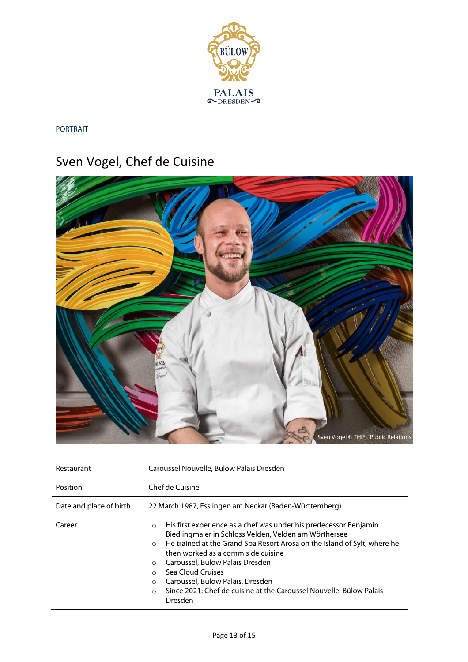

PORTRAIT

# Sven Vogel, Chef de Cuisine



| Restaurant              | Caroussel Nouvelle, Bülow Palais Dresden                                                                                                                                                                                                                                                                                                                                                                                                                                                        |  |  |
|-------------------------|-------------------------------------------------------------------------------------------------------------------------------------------------------------------------------------------------------------------------------------------------------------------------------------------------------------------------------------------------------------------------------------------------------------------------------------------------------------------------------------------------|--|--|
| Position                | Chef de Cuisine                                                                                                                                                                                                                                                                                                                                                                                                                                                                                 |  |  |
| Date and place of birth | 22 March 1987, Esslingen am Neckar (Baden-Württemberg)                                                                                                                                                                                                                                                                                                                                                                                                                                          |  |  |
| Career                  | His first experience as a chef was under his predecessor Benjamin<br>$\circ$<br>Biedlingmaier in Schloss Velden, Velden am Wörthersee<br>He trained at the Grand Spa Resort Arosa on the island of Sylt, where he<br>$\circ$<br>then worked as a commis de cuisine<br>Caroussel, Bülow Palais Dresden<br>$\circ$<br>Sea Cloud Cruises<br>$\bigcirc$<br>Caroussel, Bülow Palais, Dresden<br>$\circ$<br>Since 2021: Chef de cuisine at the Caroussel Nouvelle, Bülow Palais<br>$\circ$<br>Dresden |  |  |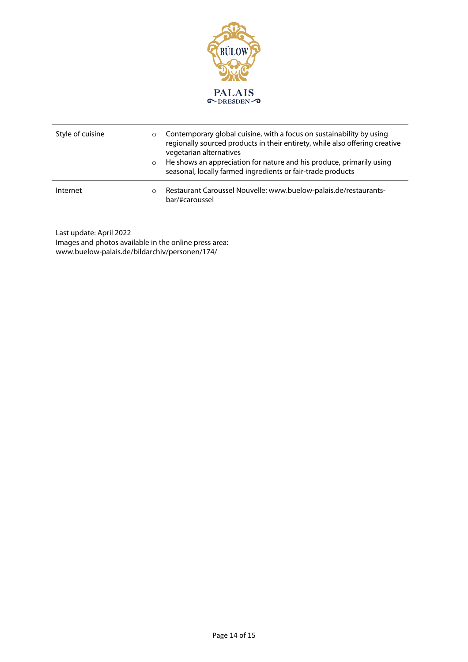

| Style of cuisine | $\circ$<br>$\circ$ | Contemporary global cuisine, with a focus on sustainability by using<br>regionally sourced products in their entirety, while also offering creative<br>vegetarian alternatives<br>He shows an appreciation for nature and his produce, primarily using<br>seasonal, locally farmed ingredients or fair-trade products |
|------------------|--------------------|-----------------------------------------------------------------------------------------------------------------------------------------------------------------------------------------------------------------------------------------------------------------------------------------------------------------------|
| Internet         | $\circ$            | Restaurant Caroussel Nouvelle: www.buelow-palais.de/restaurants-<br>bar/#caroussel                                                                                                                                                                                                                                    |

Last update: April 2022 Images and photos available in the online press area: www.buelow-palais.de/bildarchiv/personen/174/